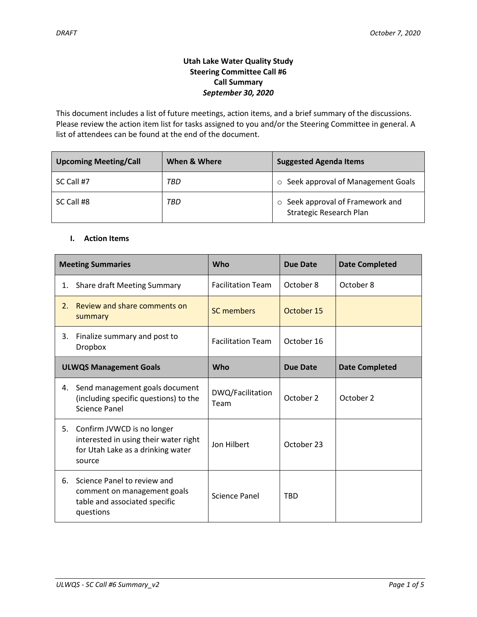# **Utah Lake Water Quality Study Steering Committee Call #6 Call Summary** *September 30, 2020*

This document includes a list of future meetings, action items, and a brief summary of the discussions. Please review the action item list for tasks assigned to you and/or the Steering Committee in general. A list of attendees can be found at the end of the document.

| <b>Upcoming Meeting/Call</b> | When & Where | <b>Suggested Agenda Items</b>                               |  |
|------------------------------|--------------|-------------------------------------------------------------|--|
| SC Call #7                   | TBD          | ○ Seek approval of Management Goals                         |  |
| SC Call #8                   | TBD          | ○ Seek approval of Framework and<br>Strategic Research Plan |  |

### **I. Action Items**

| <b>Meeting Summaries</b>      |                                                                                                                    | Who                      | <b>Due Date</b> | <b>Date Completed</b> |
|-------------------------------|--------------------------------------------------------------------------------------------------------------------|--------------------------|-----------------|-----------------------|
| 1.                            | <b>Share draft Meeting Summary</b>                                                                                 | <b>Facilitation Team</b> | October 8       | October 8             |
| 2.                            | Review and share comments on<br>summary                                                                            | SC members               | October 15      |                       |
| 3.                            | Finalize summary and post to<br><b>Dropbox</b>                                                                     | <b>Facilitation Team</b> | October 16      |                       |
| <b>ULWQS Management Goals</b> |                                                                                                                    | Who                      | <b>Due Date</b> | <b>Date Completed</b> |
| 4.                            | Send management goals document<br>(including specific questions) to the<br><b>Science Panel</b>                    | DWQ/Facilitation<br>Team | October 2       | October 2             |
| 5.                            | Confirm JVWCD is no longer<br>interested in using their water right<br>for Utah Lake as a drinking water<br>source | Jon Hilbert              | October 23      |                       |
| 6.                            | Science Panel to review and<br>comment on management goals<br>table and associated specific<br>questions           | Science Panel            | <b>TBD</b>      |                       |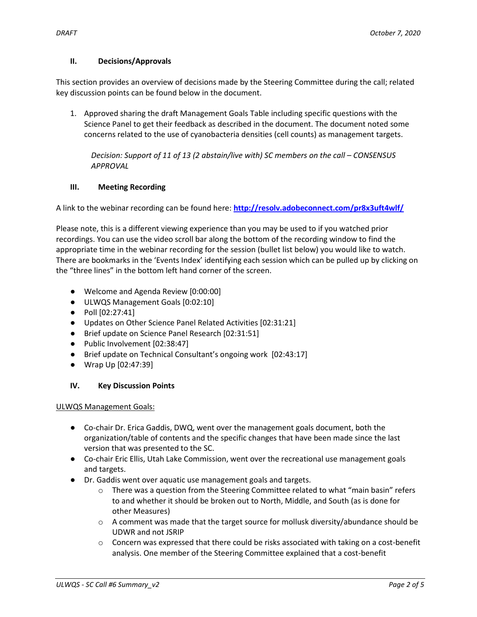### **II. Decisions/Approvals**

This section provides an overview of decisions made by the Steering Committee during the call; related key discussion points can be found below in the document.

1. Approved sharing the draft Management Goals Table including specific questions with the Science Panel to get their feedback as described in the document. The document noted some concerns related to the use of cyanobacteria densities (cell counts) as management targets.

*Decision: Support of 11 of 13 (2 abstain/live with) SC members on the call – CONSENSUS APPROVAL*

## **III. Meeting Recording**

A link to the webinar recording can be found here: **<http://resolv.adobeconnect.com/pr8x3uft4wlf/>**

Please note, this is a different viewing experience than you may be used to if you watched prior recordings. You can use the video scroll bar along the bottom of the recording window to find the appropriate time in the webinar recording for the session (bullet list below) you would like to watch. There are bookmarks in the 'Events Index' identifying each session which can be pulled up by clicking on the "three lines" in the bottom left hand corner of the screen.

- Welcome and Agenda Review [0:00:00]
- ULWQS Management Goals [0:02:10]
- Poll [02:27:41]
- Updates on Other Science Panel Related Activities [02:31:21]
- Brief update on Science Panel Research [02:31:51]
- Public Involvement [02:38:47]
- Brief update on Technical Consultant's ongoing work [02:43:17]
- Wrap Up [02:47:39]

## **IV. Key Discussion Points**

ULWQS Management Goals:

- Co-chair Dr. Erica Gaddis, DWQ, went over the management goals document, both the organization/table of contents and the specific changes that have been made since the last version that was presented to the SC.
- Co-chair Eric Ellis, Utah Lake Commission, went over the recreational use management goals and targets.
- Dr. Gaddis went over aquatic use management goals and targets.
	- $\circ$  There was a question from the Steering Committee related to what "main basin" refers to and whether it should be broken out to North, Middle, and South (as is done for other Measures)
	- $\circ$  A comment was made that the target source for mollusk diversity/abundance should be UDWR and not JSRIP
	- $\circ$  Concern was expressed that there could be risks associated with taking on a cost-benefit analysis. One member of the Steering Committee explained that a cost-benefit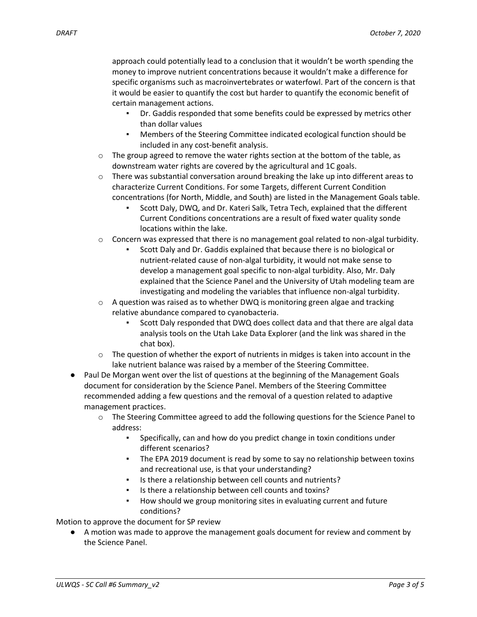approach could potentially lead to a conclusion that it wouldn't be worth spending the money to improve nutrient concentrations because it wouldn't make a difference for specific organisms such as macroinvertebrates or waterfowl. Part of the concern is that it would be easier to quantify the cost but harder to quantify the economic benefit of certain management actions.

- Dr. Gaddis responded that some benefits could be expressed by metrics other than dollar values
- Members of the Steering Committee indicated ecological function should be included in any cost-benefit analysis.
- $\circ$  The group agreed to remove the water rights section at the bottom of the table, as downstream water rights are covered by the agricultural and 1C goals.
- $\circ$  There was substantial conversation around breaking the lake up into different areas to characterize Current Conditions. For some Targets, different Current Condition concentrations (for North, Middle, and South) are listed in the Management Goals table.
	- Scott Daly, DWQ, and Dr. Kateri Salk, Tetra Tech, explained that the different Current Conditions concentrations are a result of fixed water quality sonde locations within the lake.
- $\circ$  Concern was expressed that there is no management goal related to non-algal turbidity.
	- Scott Daly and Dr. Gaddis explained that because there is no biological or nutrient-related cause of non-algal turbidity, it would not make sense to develop a management goal specific to non-algal turbidity. Also, Mr. Daly explained that the Science Panel and the University of Utah modeling team are investigating and modeling the variables that influence non-algal turbidity.
- $\circ$  A question was raised as to whether DWQ is monitoring green algae and tracking relative abundance compared to cyanobacteria.
	- Scott Daly responded that DWQ does collect data and that there are algal data analysis tools on the Utah Lake Data Explorer (and the link was shared in the chat box).
- $\circ$  The question of whether the export of nutrients in midges is taken into account in the lake nutrient balance was raised by a member of the Steering Committee.
- Paul De Morgan went over the list of questions at the beginning of the Management Goals document for consideration by the Science Panel. Members of the Steering Committee recommended adding a few questions and the removal of a question related to adaptive management practices.
	- $\circ$  The Steering Committee agreed to add the following questions for the Science Panel to address:
		- Specifically, can and how do you predict change in toxin conditions under different scenarios?
		- The EPA 2019 document is read by some to say no relationship between toxins and recreational use, is that your understanding?
		- Is there a relationship between cell counts and nutrients?
		- Is there a relationship between cell counts and toxins?
		- How should we group monitoring sites in evaluating current and future conditions?

Motion to approve the document for SP review

● A motion was made to approve the management goals document for review and comment by the Science Panel.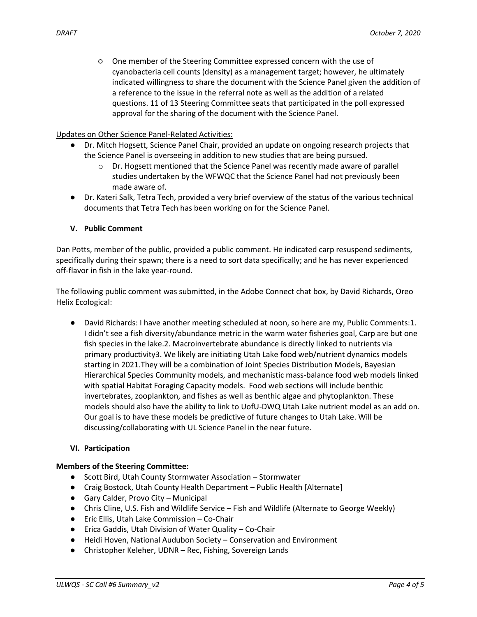○ One member of the Steering Committee expressed concern with the use of cyanobacteria cell counts (density) as a management target; however, he ultimately indicated willingness to share the document with the Science Panel given the addition of a reference to the issue in the referral note as well as the addition of a related questions. 11 of 13 Steering Committee seats that participated in the poll expressed approval for the sharing of the document with the Science Panel.

### Updates on Other Science Panel-Related Activities:

- Dr. Mitch Hogsett, Science Panel Chair, provided an update on ongoing research projects that the Science Panel is overseeing in addition to new studies that are being pursued.
	- $\circ$  Dr. Hogsett mentioned that the Science Panel was recently made aware of parallel studies undertaken by the WFWQC that the Science Panel had not previously been made aware of.
- Dr. Kateri Salk, Tetra Tech, provided a very brief overview of the status of the various technical documents that Tetra Tech has been working on for the Science Panel.

## **V. Public Comment**

Dan Potts, member of the public, provided a public comment. He indicated carp resuspend sediments, specifically during their spawn; there is a need to sort data specifically; and he has never experienced off-flavor in fish in the lake year-round.

The following public comment was submitted, in the Adobe Connect chat box, by David Richards, Oreo Helix Ecological:

● David Richards: I have another meeting scheduled at noon, so here are my, Public Comments:1. I didn't see a fish diversity/abundance metric in the warm water fisheries goal, Carp are but one fish species in the lake.2. Macroinvertebrate abundance is directly linked to nutrients via primary productivity3. We likely are initiating Utah Lake food web/nutrient dynamics models starting in 2021.They will be a combination of Joint Species Distribution Models, Bayesian Hierarchical Species Community models, and mechanistic mass-balance food web models linked with spatial Habitat Foraging Capacity models. Food web sections will include benthic invertebrates, zooplankton, and fishes as well as benthic algae and phytoplankton. These models should also have the ability to link to UofU-DWQ Utah Lake nutrient model as an add on. Our goal is to have these models be predictive of future changes to Utah Lake. Will be discussing/collaborating with UL Science Panel in the near future.

### **VI. Participation**

### **Members of the Steering Committee:**

- Scott Bird, Utah County Stormwater Association Stormwater
- Craig Bostock, Utah County Health Department Public Health [Alternate]
- Gary Calder, Provo City Municipal
- Chris Cline, U.S. Fish and Wildlife Service Fish and Wildlife (Alternate to George Weekly)
- Eric Ellis, Utah Lake Commission Co-Chair
- Erica Gaddis, Utah Division of Water Quality Co-Chair
- Heidi Hoven, National Audubon Society Conservation and Environment
- Christopher Keleher, UDNR Rec, Fishing, Sovereign Lands